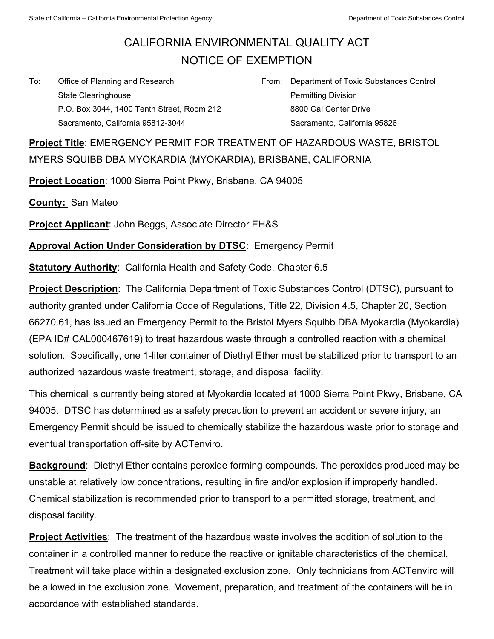## CALIFORNIA ENVIRONMENTAL QUALITY ACT NOTICE OF EXEMPTION

To: Office of Planning and Research State Clearinghouse P.O. Box 3044, 1400 Tenth Street, Room 212 Sacramento, California 95812-3044

From: Department of Toxic Substances Control Permitting Division 8800 Cal Center Drive Sacramento, California 95826

**Project Title**: EMERGENCY PERMIT FOR TREATMENT OF HAZARDOUS WASTE, BRISTOL MYERS SQUIBB DBA MYOKARDIA (MYOKARDIA), BRISBANE, CALIFORNIA

**Project Location**: 1000 Sierra Point Pkwy, Brisbane, CA 94005

**County:** San Mateo

**Project Applicant**: John Beggs, Associate Director EH&S

**Approval Action Under Consideration by DTSC**: Emergency Permit

**Statutory Authority: California Health and Safety Code, Chapter 6.5** 

**Project Description**: The California Department of Toxic Substances Control (DTSC), pursuant to authority granted under California Code of Regulations, Title 22, Division 4.5, Chapter 20, Section 66270.61, has issued an Emergency Permit to the Bristol Myers Squibb DBA Myokardia (Myokardia) (EPA ID# CAL000467619) to treat hazardous waste through a controlled reaction with a chemical solution. Specifically, one 1-liter container of Diethyl Ether must be stabilized prior to transport to an authorized hazardous waste treatment, storage, and disposal facility.

This chemical is currently being stored at Myokardia located at 1000 Sierra Point Pkwy, Brisbane, CA 94005. DTSC has determined as a safety precaution to prevent an accident or severe injury, an Emergency Permit should be issued to chemically stabilize the hazardous waste prior to storage and eventual transportation off-site by ACTenviro.

**Background**: Diethyl Ether contains peroxide forming compounds. The peroxides produced may be unstable at relatively low concentrations, resulting in fire and/or explosion if improperly handled. Chemical stabilization is recommended prior to transport to a permitted storage, treatment, and disposal facility.

**Project Activities**: The treatment of the hazardous waste involves the addition of solution to the container in a controlled manner to reduce the reactive or ignitable characteristics of the chemical. Treatment will take place within a designated exclusion zone. Only technicians from ACTenviro will be allowed in the exclusion zone. Movement, preparation, and treatment of the containers will be in accordance with established standards.